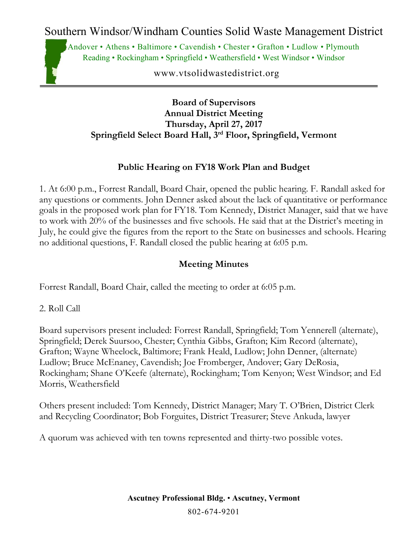Andover • Athens • Baltimore • Cavendish • Chester • Grafton • Ludlow • Plymouth Reading • Rockingham • Springfield • Weathersfield • West Windsor • Windsor

www.vtsolidwastedistrict.org

#### **Board of Supervisors Annual District Meeting Thursday, April 27, 2017 Springfield Select Board Hall, 3rd Floor, Springfield, Vermont**

### **Public Hearing on FY18 Work Plan and Budget**

1. At 6:00 p.m., Forrest Randall, Board Chair, opened the public hearing. F. Randall asked for any questions or comments. John Denner asked about the lack of quantitative or performance goals in the proposed work plan for FY18. Tom Kennedy, District Manager, said that we have to work with 20% of the businesses and five schools. He said that at the District's meeting in July, he could give the figures from the report to the State on businesses and schools. Hearing no additional questions, F. Randall closed the public hearing at 6:05 p.m.

#### **Meeting Minutes**

Forrest Randall, Board Chair, called the meeting to order at 6:05 p.m.

2. Roll Call

Board supervisors present included: Forrest Randall, Springfield; Tom Yennerell (alternate), Springfield; Derek Suursoo, Chester; Cynthia Gibbs, Grafton; Kim Record (alternate), Grafton; Wayne Wheelock, Baltimore; Frank Heald, Ludlow; John Denner, (alternate) Ludlow; Bruce McEnaney, Cavendish; Joe Fromberger, Andover; Gary DeRosia, Rockingham; Shane O'Keefe (alternate), Rockingham; Tom Kenyon; West Windsor; and Ed Morris, Weathersfield

Others present included: Tom Kennedy, District Manager; Mary T. O'Brien, District Clerk and Recycling Coordinator; Bob Forguites, District Treasurer; Steve Ankuda, lawyer

A quorum was achieved with ten towns represented and thirty-two possible votes.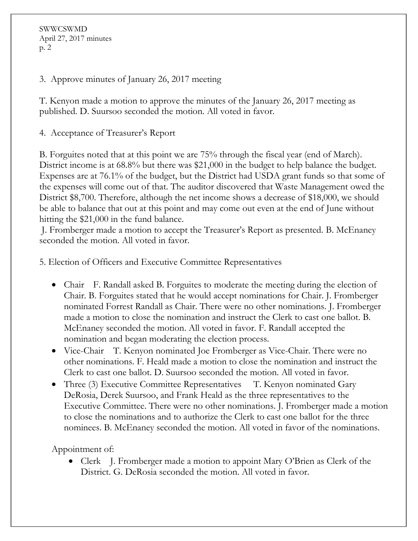SWWCSWMD April 27, 2017 minutes p. 2

3. Approve minutes of January 26, 2017 meeting

T. Kenyon made a motion to approve the minutes of the January 26, 2017 meeting as published. D. Suursoo seconded the motion. All voted in favor.

4. Acceptance of Treasurer's Report

B. Forguites noted that at this point we are 75% through the fiscal year (end of March). District income is at 68.8% but there was \$21,000 in the budget to help balance the budget. Expenses are at 76.1% of the budget, but the District had USDA grant funds so that some of the expenses will come out of that. The auditor discovered that Waste Management owed the District \$8,700. Therefore, although the net income shows a decrease of \$18,000, we should be able to balance that out at this point and may come out even at the end of June without hitting the \$21,000 in the fund balance.

J. Fromberger made a motion to accept the Treasurer's Report as presented. B. McEnaney seconded the motion. All voted in favor.

5. Election of Officers and Executive Committee Representatives

- Chair F. Randall asked B. Forguites to moderate the meeting during the election of Chair. B. Forguites stated that he would accept nominations for Chair. J. Fromberger nominated Forrest Randall as Chair. There were no other nominations. J. Fromberger made a motion to close the nomination and instruct the Clerk to cast one ballot. B. McEnaney seconded the motion. All voted in favor. F. Randall accepted the nomination and began moderating the election process.
- Vice-Chair T. Kenyon nominated Joe Fromberger as Vice-Chair. There were no other nominations. F. Heald made a motion to close the nomination and instruct the Clerk to cast one ballot. D. Suursoo seconded the motion. All voted in favor.
- Three (3) Executive Committee Representatives T. Kenyon nominated Gary DeRosia, Derek Suursoo, and Frank Heald as the three representatives to the Executive Committee. There were no other nominations. J. Fromberger made a motion to close the nominations and to authorize the Clerk to cast one ballot for the three nominees. B. McEnaney seconded the motion. All voted in favor of the nominations.

Appointment of:

• Clerk J. Fromberger made a motion to appoint Mary O'Brien as Clerk of the District. G. DeRosia seconded the motion. All voted in favor.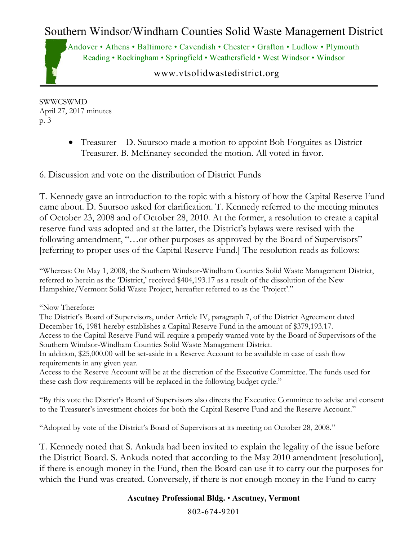Andover • Athens • Baltimore • Cavendish • Chester • Grafton • Ludlow • Plymouth Reading • Rockingham • Springfield • Weathersfield • West Windsor • Windsor

www.vtsolidwastedistrict.org

SWWCSWMD April 27, 2017 minutes p. 3

> • Treasurer D. Suursoo made a motion to appoint Bob Forguites as District Treasurer. B. McEnaney seconded the motion. All voted in favor.

6. Discussion and vote on the distribution of District Funds

T. Kennedy gave an introduction to the topic with a history of how the Capital Reserve Fund came about. D. Suursoo asked for clarification. T. Kennedy referred to the meeting minutes of October 23, 2008 and of October 28, 2010. At the former, a resolution to create a capital reserve fund was adopted and at the latter, the District's bylaws were revised with the following amendment, "...or other purposes as approved by the Board of Supervisors" [referring to proper uses of the Capital Reserve Fund.] The resolution reads as follows:

"Whereas: On May 1, 2008, the Southern Windsor-Windham Counties Solid Waste Management District, referred to herein as the 'District,' received \$404,193.17 as a result of the dissolution of the New Hampshire/Vermont Solid Waste Project, hereafter referred to as the 'Project'."

"Now Therefore:

The District's Board of Supervisors, under Article IV, paragraph 7, of the District Agreement dated December 16, 1981 hereby establishes a Capital Reserve Fund in the amount of \$379,193.17. Access to the Capital Reserve Fund will require a properly warned vote by the Board of Supervisors of the

Southern Windsor-Windham Counties Solid Waste Management District.

In addition, \$25,000.00 will be set-aside in a Reserve Account to be available in case of cash flow requirements in any given year.

Access to the Reserve Account will be at the discretion of the Executive Committee. The funds used for these cash flow requirements will be replaced in the following budget cycle."

"By this vote the District's Board of Supervisors also directs the Executive Committee to advise and consent to the Treasurer's investment choices for both the Capital Reserve Fund and the Reserve Account."

"Adopted by vote of the District's Board of Supervisors at its meeting on October 28, 2008."

T. Kennedy noted that S. Ankuda had been invited to explain the legality of the issue before the District Board. S. Ankuda noted that according to the May 2010 amendment [resolution], if there is enough money in the Fund, then the Board can use it to carry out the purposes for which the Fund was created. Conversely, if there is not enough money in the Fund to carry

#### **Ascutney Professional Bldg.** • **Ascutney, Vermont**

802-674-9201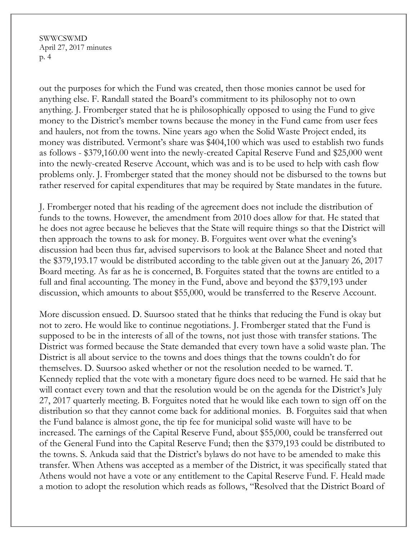SWWCSWMD April 27, 2017 minutes p. 4

out the purposes for which the Fund was created, then those monies cannot be used for anything else. F. Randall stated the Board's commitment to its philosophy not to own anything. J. Fromberger stated that he is philosophically opposed to using the Fund to give money to the District's member towns because the money in the Fund came from user fees and haulers, not from the towns. Nine years ago when the Solid Waste Project ended, its money was distributed. Vermont's share was \$404,100 which was used to establish two funds as follows - \$379,160.00 went into the newly-created Capital Reserve Fund and \$25,000 went into the newly-created Reserve Account, which was and is to be used to help with cash flow problems only. J. Fromberger stated that the money should not be disbursed to the towns but rather reserved for capital expenditures that may be required by State mandates in the future.

J. Fromberger noted that his reading of the agreement does not include the distribution of funds to the towns. However, the amendment from 2010 does allow for that. He stated that he does not agree because he believes that the State will require things so that the District will then approach the towns to ask for money. B. Forguites went over what the evening's discussion had been thus far, advised supervisors to look at the Balance Sheet and noted that the \$379,193.17 would be distributed according to the table given out at the January 26, 2017 Board meeting. As far as he is concerned, B. Forguites stated that the towns are entitled to a full and final accounting. The money in the Fund, above and beyond the \$379,193 under discussion, which amounts to about \$55,000, would be transferred to the Reserve Account.

More discussion ensued. D. Suursoo stated that he thinks that reducing the Fund is okay but not to zero. He would like to continue negotiations. J. Fromberger stated that the Fund is supposed to be in the interests of all of the towns, not just those with transfer stations. The District was formed because the State demanded that every town have a solid waste plan. The District is all about service to the towns and does things that the towns couldn't do for themselves. D. Suursoo asked whether or not the resolution needed to be warned. T. Kennedy replied that the vote with a monetary figure does need to be warned. He said that he will contact every town and that the resolution would be on the agenda for the District's July 27, 2017 quarterly meeting. B. Forguites noted that he would like each town to sign off on the distribution so that they cannot come back for additional monies. B. Forguites said that when the Fund balance is almost gone, the tip fee for municipal solid waste will have to be increased. The earnings of the Capital Reserve Fund, about \$55,000, could be transferred out of the General Fund into the Capital Reserve Fund; then the \$379,193 could be distributed to the towns. S. Ankuda said that the District's bylaws do not have to be amended to make this transfer. When Athens was accepted as a member of the District, it was specifically stated that Athens would not have a vote or any entitlement to the Capital Reserve Fund. F. Heald made a motion to adopt the resolution which reads as follows, "Resolved that the District Board of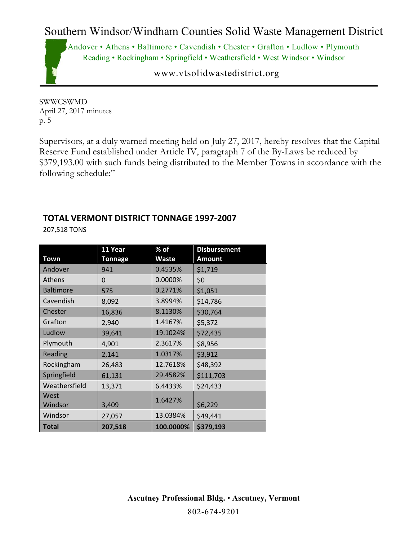

www.vtsolidwastedistrict.org

SWWCSWMD April 27, 2017 minutes p. 5

Supervisors, at a duly warned meeting held on July 27, 2017, hereby resolves that the Capital Reserve Fund established under Article IV, paragraph 7 of the By-Laws be reduced by \$379,193.00 with such funds being distributed to the Member Towns in accordance with the following schedule:"

## **TOTAL VERMONT DISTRICT TONNAGE 1997-2007**

207,518 TONS

|                  | 11 Year | % of      | <b>Disbursement</b> |
|------------------|---------|-----------|---------------------|
| Town             | Tonnage | Waste     | <b>Amount</b>       |
| Andover          | 941     | 0.4535%   | \$1,719             |
| Athens           | 0       | 0.0000%   | \$0                 |
| <b>Baltimore</b> | 575     | 0.2771%   | \$1,051             |
| Cavendish        | 8,092   | 3.8994%   | \$14,786            |
| Chester          | 16,836  | 8.1130%   | \$30,764            |
| Grafton          | 2,940   | 1.4167%   | \$5,372             |
| Ludlow           | 39,641  | 19.1024%  | \$72,435            |
| Plymouth         | 4,901   | 2.3617%   | \$8,956             |
| Reading          | 2,141   | 1.0317%   | \$3,912             |
| Rockingham       | 26,483  | 12.7618%  | \$48,392            |
| Springfield      | 61,131  | 29.4582%  | \$111,703           |
| Weathersfield    | 13,371  | 6.4433%   | \$24,433            |
| West             |         | 1.6427%   |                     |
| Windsor          | 3,409   |           | \$6,229             |
| Windsor          | 27,057  | 13.0384%  | \$49,441            |
| <b>Total</b>     | 207,518 | 100.0000% | \$379,193           |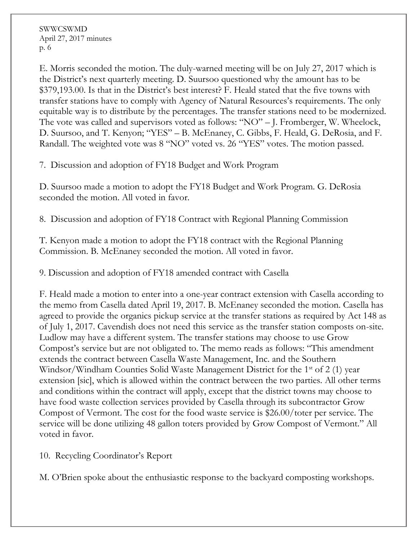SWWCSWMD April 27, 2017 minutes p. 6

E. Morris seconded the motion. The duly-warned meeting will be on July 27, 2017 which is the District's next quarterly meeting. D. Suursoo questioned why the amount has to be \$379,193.00. Is that in the District's best interest? F. Heald stated that the five towns with transfer stations have to comply with Agency of Natural Resources's requirements. The only equitable way is to distribute by the percentages. The transfer stations need to be modernized. The vote was called and supervisors voted as follows: "NO" – J. Fromberger, W. Wheelock, D. Suursoo, and T. Kenyon; "YES" – B. McEnaney, C. Gibbs, F. Heald, G. DeRosia, and F. Randall. The weighted vote was 8 "NO" voted vs. 26 "YES" votes. The motion passed.

7. Discussion and adoption of FY18 Budget and Work Program

D. Suursoo made a motion to adopt the FY18 Budget and Work Program. G. DeRosia seconded the motion. All voted in favor.

8. Discussion and adoption of FY18 Contract with Regional Planning Commission

T. Kenyon made a motion to adopt the FY18 contract with the Regional Planning Commission. B. McEnaney seconded the motion. All voted in favor.

9. Discussion and adoption of FY18 amended contract with Casella

F. Heald made a motion to enter into a one-year contract extension with Casella according to the memo from Casella dated April 19, 2017. B. McEnaney seconded the motion. Casella has agreed to provide the organics pickup service at the transfer stations as required by Act 148 as of July 1, 2017. Cavendish does not need this service as the transfer station composts on-site. Ludlow may have a different system. The transfer stations may choose to use Grow Compost's service but are not obligated to. The memo reads as follows: "This amendment extends the contract between Casella Waste Management, Inc. and the Southern Windsor/Windham Counties Solid Waste Management District for the 1<sup>st</sup> of 2 (1) year extension [sic], which is allowed within the contract between the two parties. All other terms and conditions within the contract will apply, except that the district towns may choose to have food waste collection services provided by Casella through its subcontractor Grow Compost of Vermont. The cost for the food waste service is \$26.00/toter per service. The service will be done utilizing 48 gallon toters provided by Grow Compost of Vermont." All voted in favor.

10. Recycling Coordinator's Report

M. O'Brien spoke about the enthusiastic response to the backyard composting workshops.